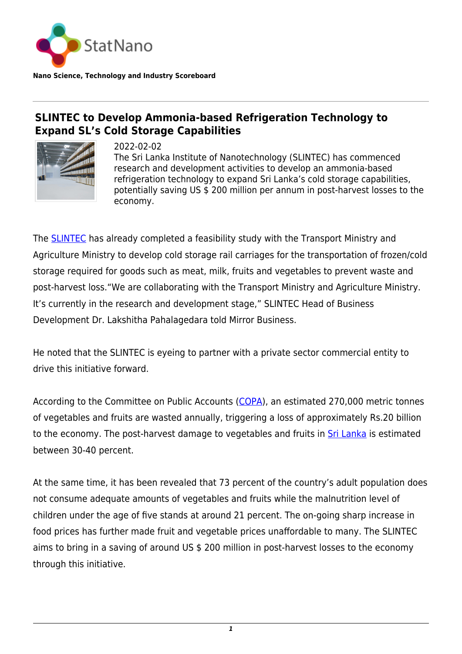

**Nano Science, Technology and Industry Scoreboard**

## **SLINTEC to Develop Ammonia-based Refrigeration Technology to Expand SL's Cold Storage Capabilities**



2022-02-02 The Sri Lanka Institute of Nanotechnology (SLINTEC) has commenced research and development activities to develop an ammonia-based refrigeration technology to expand Sri Lanka's cold storage capabilities, potentially saving US \$ 200 million per annum in post-harvest losses to the economy.

The [SLINTEC](https://www.slintec.lk/) has already completed a feasibility study with the Transport Ministry and Agriculture Ministry to develop cold storage rail carriages for the transportation of frozen/cold storage required for goods such as meat, milk, fruits and vegetables to prevent waste and post-harvest loss."We are collaborating with the Transport Ministry and Agriculture Ministry. It's currently in the research and development stage," SLINTEC Head of Business Development Dr. Lakshitha Pahalagedara told Mirror Business.

He noted that the SLINTEC is eyeing to partner with a private sector commercial entity to drive this initiative forward.

According to the Committee on Public Accounts [\(COPA\)](https://committees.parliament.uk/committee/127/public-accounts-committee/), an estimated 270,000 metric tonnes of vegetables and fruits are wasted annually, triggering a loss of approximately Rs.20 billion to the economy. The post-harvest damage to vegetables and fruits in [Sri Lanka](http://statnano.com/country/Sri_lanka) is estimated between 30-40 percent.

At the same time, it has been revealed that 73 percent of the country's adult population does not consume adequate amounts of vegetables and fruits while the malnutrition level of children under the age of five stands at around 21 percent. The on-going sharp increase in food prices has further made fruit and vegetable prices unaffordable to many. The SLINTEC aims to bring in a saving of around US \$ 200 million in post-harvest losses to the economy through this initiative.